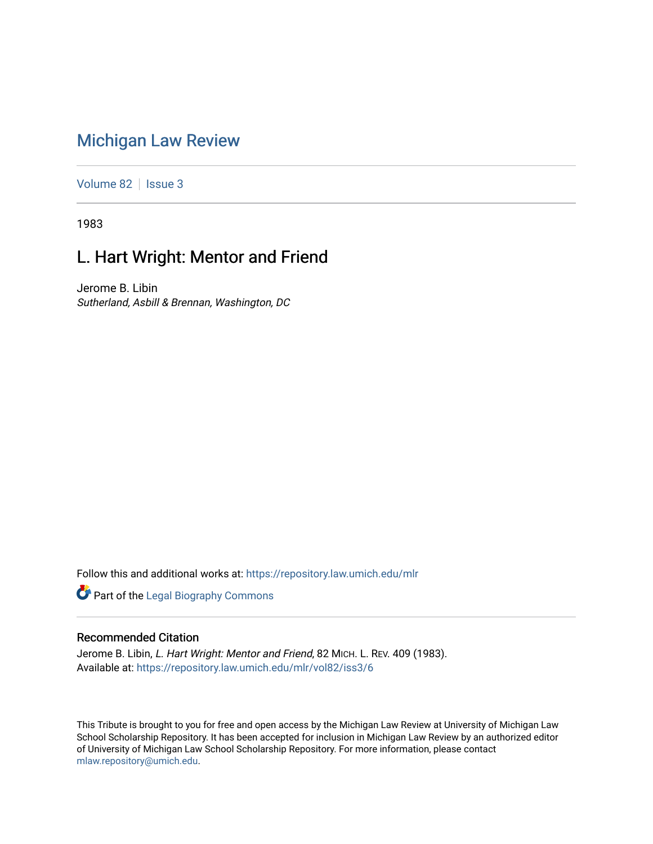## [Michigan Law Review](https://repository.law.umich.edu/mlr)

[Volume 82](https://repository.law.umich.edu/mlr/vol82) | [Issue 3](https://repository.law.umich.edu/mlr/vol82/iss3)

1983

# L. Hart Wright: Mentor and Friend

Jerome B. Libin Sutherland, Asbill & Brennan, Washington, DC

Follow this and additional works at: [https://repository.law.umich.edu/mlr](https://repository.law.umich.edu/mlr?utm_source=repository.law.umich.edu%2Fmlr%2Fvol82%2Fiss3%2F6&utm_medium=PDF&utm_campaign=PDFCoverPages) 

Part of the [Legal Biography Commons](http://network.bepress.com/hgg/discipline/834?utm_source=repository.law.umich.edu%2Fmlr%2Fvol82%2Fiss3%2F6&utm_medium=PDF&utm_campaign=PDFCoverPages) 

#### Recommended Citation

Jerome B. Libin, L. Hart Wright: Mentor and Friend, 82 MICH. L. REV. 409 (1983). Available at: [https://repository.law.umich.edu/mlr/vol82/iss3/6](https://repository.law.umich.edu/mlr/vol82/iss3/6?utm_source=repository.law.umich.edu%2Fmlr%2Fvol82%2Fiss3%2F6&utm_medium=PDF&utm_campaign=PDFCoverPages)

This Tribute is brought to you for free and open access by the Michigan Law Review at University of Michigan Law School Scholarship Repository. It has been accepted for inclusion in Michigan Law Review by an authorized editor of University of Michigan Law School Scholarship Repository. For more information, please contact [mlaw.repository@umich.edu.](mailto:mlaw.repository@umich.edu)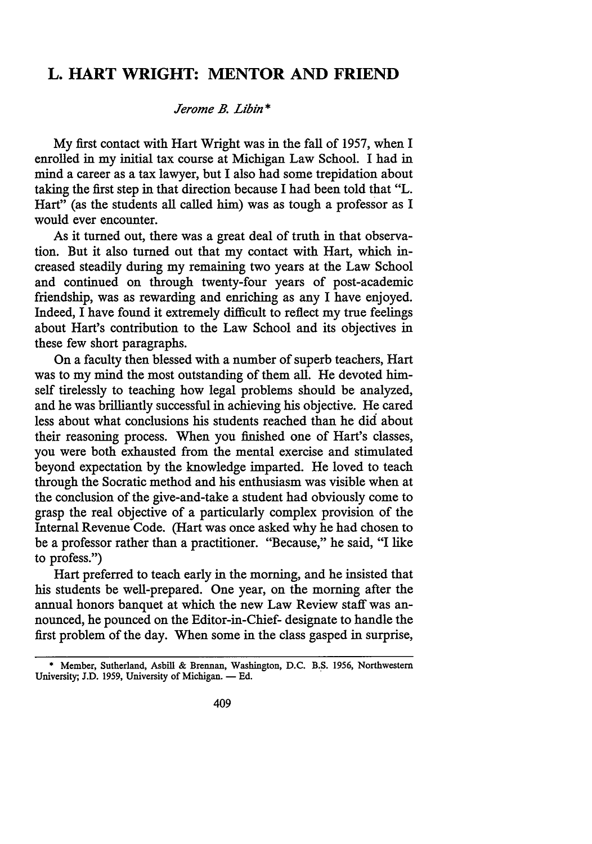### **L. HART WRIGHT: MENTOR AND FRIEND**

#### *Jerome* B. *Lib in\**

My first contact with Hart Wright was in the fall of 1957, when I enrolled in my initial tax course at Michigan Law School. I had in mind a career as a tax lawyer, but I also had some trepidation about taking the first step in that direction because I had been told that "L. Hart" (as the students all called him) was as tough a professor as I would ever encounter.

As it turned out, there was a great deal of truth in that observation. But it also turned out that my contact with Hart, which increased steadily during my remaining two years at the Law School and continued on through twenty-four years of post-academic friendship, was as rewarding and enriching as any I have enjoyed. Indeed, I have found it extremely difficult to reflect my true feelings about Hart's contribution to the Law School and its objectives in these few short paragraphs.

On a faculty then blessed with a number of superb teachers, Hart was to my mind the most outstanding of them all. He devoted himself tirelessly to teaching how legal problems should be analyzed, and he was brilliantly successful in achieving his objective. He cared less about what conclusions his students reached than he did about their reasoning process. When you finished one of Hart's classes, you were both exhausted from the mental exercise and stimulated beyond expectation by the knowledge imparted. He loved to teach through the Socratic method and his enthusiasm was visible when at the conclusion of the give-and-take a student had obviously come to grasp the real objective of a particularly complex provision of the Internal Revenue Code. (Hart was once asked why he had chosen to be a professor rather than a practitioner. "Because," he said, "I like to profess.")

Hart preferred to teach early in the morning, and he insisted that his students be well-prepared. One year, on the morning after the annual honors banquet at which the new Law Review staff was announced, he pounced on the Editor-in-Chief- designate to handle the first problem of the day. When some in the class gasped in surprise,

<sup>•</sup> Member, Sutherland, Asbill & Brennan, Washington, D.C. B.S. 1956, Northwestern University; J.D. 1959, University of Michigan. - Ed.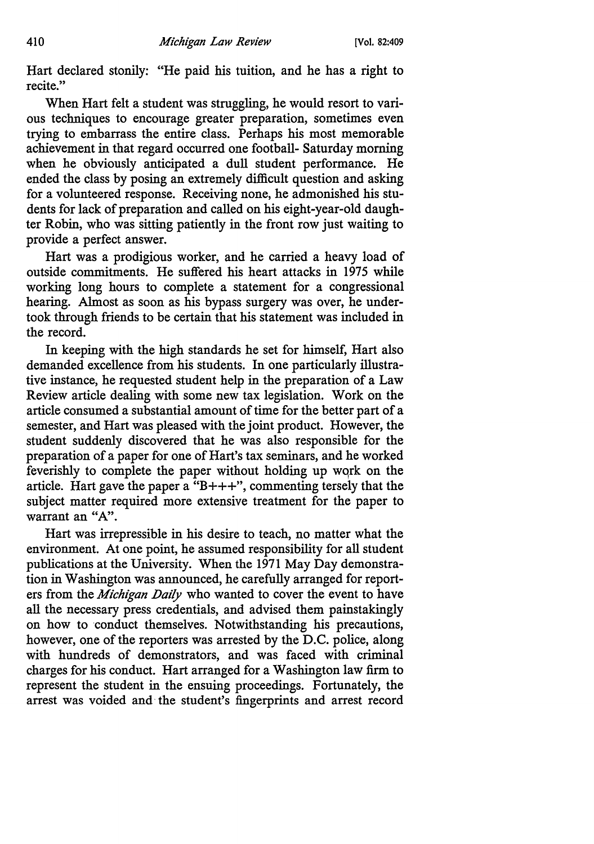Hart declared stonily: "He paid his tuition, and he has a right to recite."

When Hart felt a student was struggling, he would resort to various techniques to encourage greater preparation, sometimes even trying to embarrass the entire class. Perhaps his most memorable achievement in that regard occurred one football- Saturday morning when he obviously anticipated a dull student performance. He ended the class by posing an extremely difficult question and asking for a volunteered response. Receiving none, he admonished his students for lack of preparation and called on his eight-year-old daughter Robin, who was sitting patiently in the front row just waiting to provide a perfect answer.

Hart was a prodigious worker, and he carried a heavy load of outside commitments. He suffered his heart attacks in 1975 while working long hours to complete a statement for a congressional hearing. Almost as soon as his bypass surgery was over, he undertook through friends to be certain that his statement was included in the record.

In keeping with the high standards he set for himself, Hart also demanded excellence from his students. In one particularly illustrative instance, he requested student help in the preparation of a Law Review article dealing with some new tax legislation. Work on the article consumed a substantial amount of time for the better part of a semester, and Hart was pleased with the joint product. However, the student suddenly discovered that he was also responsible for the preparation of a paper for one of Hart's tax seminars, and he worked feverishly to complete the paper without holding up wqrk on the article. Hart gave the paper a "B+++", commenting tersely that the subject matter required more extensive treatment for the paper to warrant an "A".

Hart was irrepressible in his desire to teach, no matter what the environment. At one point, he assumed responsibility for all student publications at the University. When the 1971 May Day demonstration in Washington was announced, he carefully arranged for reporters from the *Michigan Daily* who wanted to cover the event to have all the necessary press credentials, and advised them painstakingly on how to conduct themselves. Notwithstanding his precautions, however, one of the reporters was arrested by the D.C. police, along with hundreds of demonstrators, and was faced with criminal charges for his conduct. Hart arranged for a Washington law firm to represent the student in the ensuing proceedings. Fortunately, the arrest was voided and the student's fingerprints and arrest record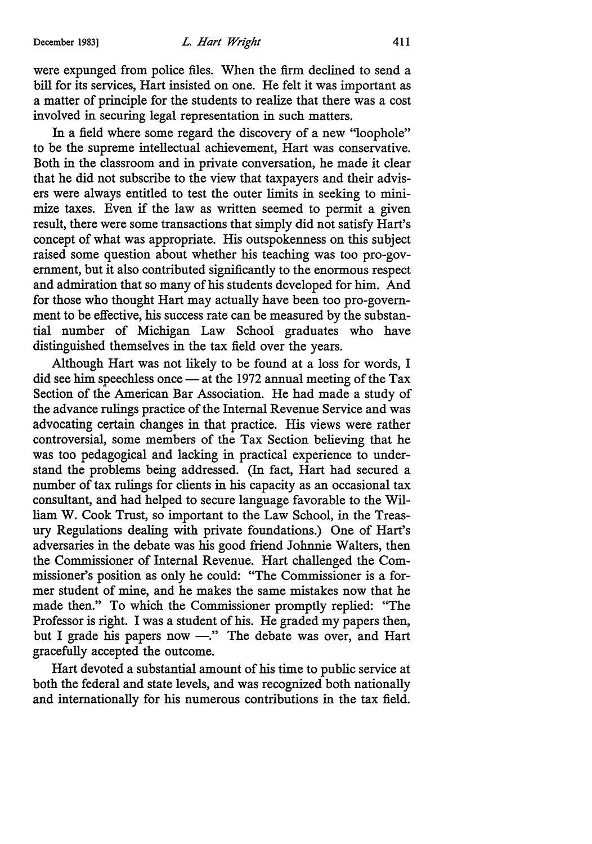were expunged from police files. When the firm declined to send a bill for its services, Hart insisted on one. He felt it was important as a matter of principle for the students to realize that there was a cost involved in securing legal representation in such matters.

In a field where some regard the discovery of a new "loophole" to be the supreme intellectual achievement, Hart was conservative. Both in the classroom and in private conversation, he made it clear that he did not subscribe to the view that taxpayers and their advisers were always entitled to test the outer limits in seeking to minimize taxes. Even if the law as written seemed to permit a given result, there were some transactions that simply did not satisfy Hart's concept of what was appropriate. His outspokenness on this subject raised some question about whether his teaching was too pro-government, but it also contributed significantly to the enormous respect and admiration that so many of his students developed for him. And for those who thought Hart may actually have been too pro-government to be effective, his success rate can be measured by the substantial number of Michigan Law School graduates who have distinguished themselves in the tax field over the years.

Although Hart was not likely to be found at a loss for words, I did see him speechless once — at the 1972 annual meeting of the Tax Section of the American Bar Association. He had made a study of the advance rulings practice of the Internal Revenue Service and was advocating certain changes in that practice. His views were rather controversial, some members of the Tax Section believing that he was too pedagogical and lacking in practical experience to understand the problems being addressed. (In fact, Hart had secured a number of tax rulings for clients in his capacity as an occasional tax consultant, and had helped to secure language favorable to the William W. Cook Trust, so important to the Law School, in the Treasury Regulations dealing with private foundations.) One of Hart's adversaries in the debate was his good friend Johnnie Walters, then the Commissioner of Internal Revenue. Hart challenged the Commissioner's position as only he could: "The Commissioner is a former student of mine, and he makes the same mistakes now that he made then." To which the Commissioner promptly replied: "The Professor is right. I was a student of his. He graded my papers then, but I grade his papers now -"." The debate was over, and Hart gracefully accepted the outcome.

Hart devoted a substantial amount of his time to public service at both the federal and state levels, and was recognized both nationally and internationally for his numerous contributions in the tax field.